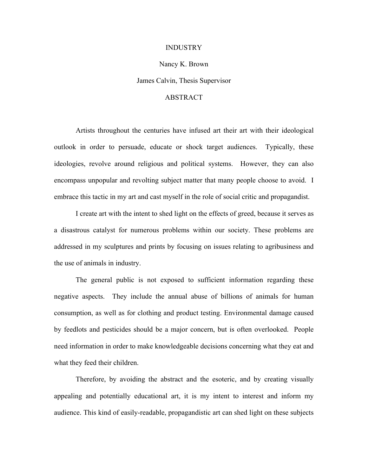## INDUSTRY

## Nancy K. Brown

James Calvin, Thesis Supervisor

## ABSTRACT

Artists throughout the centuries have infused art their art with their ideological outlook in order to persuade, educate or shock target audiences. Typically, these ideologies, revolve around religious and political systems. However, they can also encompass unpopular and revolting subject matter that many people choose to avoid. I embrace this tactic in my art and cast myself in the role of social critic and propagandist.

I create art with the intent to shed light on the effects of greed, because it serves as a disastrous catalyst for numerous problems within our society. These problems are addressed in my sculptures and prints by focusing on issues relating to agribusiness and the use of animals in industry.

The general public is not exposed to sufficient information regarding these negative aspects. They include the annual abuse of billions of animals for human consumption, as well as for clothing and product testing. Environmental damage caused by feedlots and pesticides should be a major concern, but is often overlooked. People need information in order to make knowledgeable decisions concerning what they eat and what they feed their children.

Therefore, by avoiding the abstract and the esoteric, and by creating visually appealing and potentially educational art, it is my intent to interest and inform my audience. This kind of easily-readable, propagandistic art can shed light on these subjects